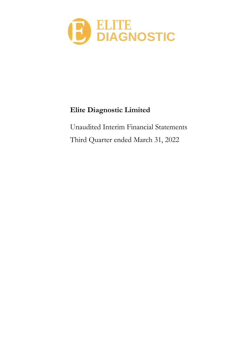

# **Elite Diagnostic Limited**

Unaudited Interim Financial Statements Third Quarter ended March 31, 2022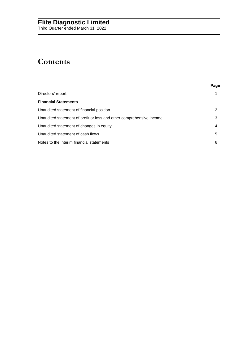# **Contents**

|                                                                      | Page |
|----------------------------------------------------------------------|------|
| Directors' report                                                    |      |
| <b>Financial Statements</b>                                          |      |
| Unaudited statement of financial position                            | 2    |
| Unaudited statement of profit or loss and other comprehensive income | 3    |
| Unaudited statement of changes in equity                             | 4    |
| Unaudited statement of cash flows                                    | 5    |
| Notes to the interim financial statements                            | 6    |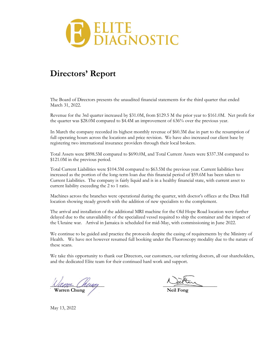

## **Directors' Report**

The Board of Directors presents the unaudited financial statements for the third quarter that ended March 31, 2022.

Revenue for the 3rd quarter increased by \$31.0M, from \$129.5 M the prior year to \$161.0M. Net profit for the quarter was \$28.0M compared to \$4.4M an improvement of 636% over the previous year.

In March the company recorded its highest monthly revenue of \$60.3M due in part to the resumption of full operating hours across the locations and price revision. We have also increased our client base by registering two international insurance providers through their local brokers.

Total Assets were \$898.5M compared to \$690.0M, and Total Current Assets were \$337.3M compared to \$121.0M in the previous period.

Total Current Liabilities were \$104.5M compared to \$63.5M the previous year. Current liabilities have increased as the portion of the long-term loan due this financial period of \$59.6M has been taken to Current Liabilities. The company is fairly liquid and is in a healthy financial state, with current asset to current liability exceeding the 2 to 1 ratio.

Machines across the branches were operational during the quarter, with doctor's offices at the Drax Hall location showing steady growth with the addition of new specialists to the complement.

The arrival and installation of the additional MRI machine for the Old Hope Road location were further delayed due to the unavailability of the specialized vessel required to ship the container and the impact of the Ukraine war. Arrival in Jamaica is scheduled for mid-May, with commissioning in June 2022.

We continue to be guided and practice the protocols despite the easing of requirements by the Ministry of Health. We have not however resumed full booking under the Fluoroscopy modality due to the nature of these scans.

We take this opportunity to thank our Directors, our customers, our referring doctors, all our shareholders, and the dedicated Elite team for their continued hard work and support.

 $\nu$ am- $\nu$ Warren Chung Neil Fong

May 13, 2022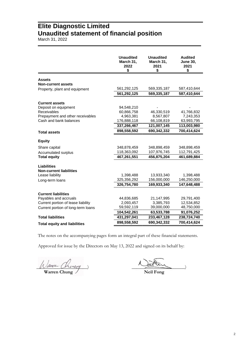### **Elite Diagnostic Limited Unaudited statement of financial position**

<span id="page-3-0"></span>March 31, 2022

|                                            | <b>Unaudited</b><br>March 31,<br>2022<br>\$ | <b>Unaudited</b><br>March 31,<br>2021<br>\$ | <b>Audited</b><br><b>June 30,</b><br>2021<br>\$ |
|--------------------------------------------|---------------------------------------------|---------------------------------------------|-------------------------------------------------|
| <b>Assets</b>                              |                                             |                                             |                                                 |
| <b>Non-current assets</b>                  |                                             |                                             |                                                 |
| Property, plant and equipment              | 561,292,125                                 | 569,335,187                                 | 587,410,644                                     |
|                                            | 561,292,125                                 | 569,335,187                                 | 587,410,644                                     |
| <b>Current assets</b>                      |                                             |                                             |                                                 |
| Deposit on equipment                       | 94,548,210                                  |                                             |                                                 |
| Receivables                                | 60,866,758                                  | 46,330,519                                  | 41,766,832                                      |
| Prepayment and other receivables           | 4,963,381                                   | 8,567,807                                   | 7,243,353                                       |
| Cash and bank balances                     | 176,888,118                                 | 66,108,819                                  | 63,993,795                                      |
|                                            | 337,266,467                                 | 121,007,145                                 | 113,003,980                                     |
| <b>Total assets</b>                        | 898,558,592                                 | 690,342,332                                 | 700,414,624                                     |
| <b>Equity</b>                              |                                             |                                             |                                                 |
| Share capital                              | 348,878,459                                 | 348,898,459                                 | 348,898,459                                     |
|                                            | 118,363,092                                 | 107,976,745                                 | 112,791,425                                     |
| Accumulated surplus<br><b>Total equity</b> | 467,261,551                                 | 456,875,204                                 | 461,689,884                                     |
| <b>Liabilities</b>                         |                                             |                                             |                                                 |
| <b>Non-current liabilities</b>             |                                             |                                             |                                                 |
| Lease liability                            | 1,398,488                                   | 13,933,340                                  | 1,398,488                                       |
| Long-term loans                            | 325,356,292                                 | 156,000,000                                 | 146,250,000                                     |
|                                            | 326.754.780                                 | 169.933.340                                 | 147,648,488                                     |
| <b>Current liabilities</b>                 |                                             |                                             |                                                 |
| Payables and accruals                      | 44,836,685                                  | 21,147,995                                  | 29,791,400                                      |
| Current portion of lease liability         | 2,093,457                                   | 3,385,793                                   | 12,534,852                                      |
| Current portion of long-term loans         | 59,592,119                                  | 39,000,000                                  | 48,750,000                                      |
|                                            | 104,542,261                                 | 63,533,788                                  | 91,076,252                                      |
| <b>Total liabilities</b>                   | 431,297,041                                 | 233,467,128                                 | 238,724,740                                     |
| <b>Total equity and liabilities</b>        | 898,558,592                                 | 690,342,332                                 | 700,414,624                                     |

The notes on the accompanying pages form an integral part of these financial statements.

Approved for issue by the Directors on May 13, 2022 and signed on its behalf by:

**Warren Chung** / **Neil Fong** 

 $M$ ann  $Unu_{\mathcal{O}}$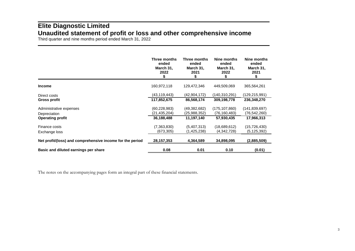## **Elite Diagnostic Limited Unaudited statement of profit or loss and other comprehensive income**

Third quarter and nine months period ended March 31, 2022

|                                                           | Three months<br>ended<br>March 31,<br>2022<br>\$ | Three months<br>ended<br>March 31,<br>2021<br>\$ | Nine months<br>ended<br>March 31,<br>2022<br>\$ | Nine months<br>ended<br>March 31,<br>2021<br>\$ |
|-----------------------------------------------------------|--------------------------------------------------|--------------------------------------------------|-------------------------------------------------|-------------------------------------------------|
| <b>Income</b>                                             | 160,972,118                                      | 129,472,346                                      | 449,509,069                                     | 365,564,261                                     |
| Direct costs                                              | (43,119,443)                                     | (42, 904, 172)                                   | (140,310,291)                                   | (129,215,991)                                   |
| Gross profit                                              | 117,852,675                                      | 86,568,174                                       | 309,198,778                                     | 236,348,270                                     |
| Administrative expenses                                   | (60, 228, 983)                                   | (49, 382, 682)                                   | (175, 107, 860)                                 | (141.839.697)                                   |
| Depreciation                                              | (21,435,204)                                     | (25,988,352)                                     | (76, 160, 483)                                  | (76,542,260)                                    |
| <b>Operating profit</b>                                   | 36,188,488                                       | 11,197,140                                       | 57,930,435                                      | 17,966,313                                      |
| Finance costs                                             | (7,363,830)                                      | (5,407,313)                                      | (18,689,612)                                    | (15, 726, 430)                                  |
| Exchange loss                                             | (673,305)                                        | (1,425,238)                                      | (4,342,728)                                     | (5, 125, 392)                                   |
| Net profit/(loss) and comprehensive income for the period | 28,157,353                                       | 4,364,589                                        | 34,898,095                                      | (2,885,509)                                     |
| Basic and diluted earnings per share                      | 0.08                                             | 0.01                                             | 0.10                                            | (0.01)                                          |

<span id="page-4-0"></span>The notes on the accompanying pages form an integral part of these financial statements.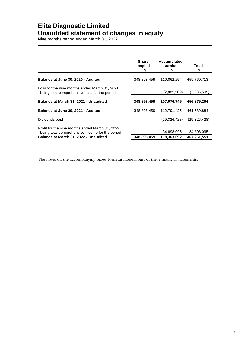## **Elite Diagnostic Limited Unaudited statement of changes in equity**

<span id="page-5-0"></span>Nine months period ended March 31, 2022

|                                                                                                    | <b>Share</b><br>capital | Accumulated<br>surplus | Total<br>S     |
|----------------------------------------------------------------------------------------------------|-------------------------|------------------------|----------------|
| Balance at June 30, 2020 - Audited                                                                 | 348,898,459             | 110,862,254            | 459.760.713    |
| Loss for the nine months ended March 31, 2021<br>being total comprehensive loss for the period     |                         | (2,885,509)            | (2,885,509)    |
| Balance at March 31, 2021 - Unaudited                                                              | 348,898,459             | 107,976,745            | 456,875,204    |
| Balance at June 30, 2021 - Audited                                                                 | 348,898,459             | 112,791,425            | 461.689.884    |
| Dividends paid                                                                                     |                         | (29, 326, 428)         | (29, 326, 428) |
| Profit for the nine months ended March 31, 2022<br>being total comprehensive income for the period |                         | 34,898,095             | 34,898,095     |
| Balance at March 31, 2022 - Unaudited                                                              | 348,898,459             | 118,363,092            | 467,261,551    |

The notes on the accompanying pages form an integral part of these financial statements.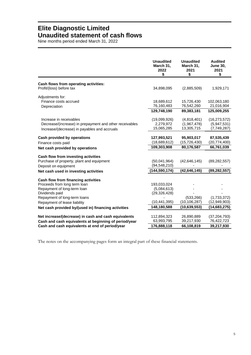## **Elite Diagnostic Limited Unaudited statement of cash flows**

<span id="page-6-0"></span>Nine months period ended March 31, 2022

|                                                         | <b>Unaudited</b><br>March 31,<br>2022<br>\$ | <b>Unaudited</b><br>March 31,<br>2021<br>\$ | <b>Audited</b><br><b>June 30,</b><br>2021<br>\$ |
|---------------------------------------------------------|---------------------------------------------|---------------------------------------------|-------------------------------------------------|
| Cash flows from operating activities:                   |                                             |                                             |                                                 |
| Profit/(loss) before tax                                | 34,898,095                                  | (2,885,509)                                 | 1,929,171                                       |
| Adjustments for:                                        |                                             |                                             |                                                 |
| Finance costs accrued                                   | 18,689,612                                  | 15,726,430                                  | 102,063,180                                     |
| Depreciation                                            | 76,160,483                                  | 76,542,260                                  | 21,016,904                                      |
|                                                         | 129,748,190                                 | 89,383,181                                  | 125.009.255                                     |
| Increase in receivables                                 | (19,099,926)                                | (4,818,401)                                 | (16, 273, 572)                                  |
| Decrease/(increase) in prepayment and other receivables | 2,279,972                                   | (1,967,478)                                 | (5,947,531)                                     |
| Increase/(decrease) in payables and accruals            | 15,065,285                                  | 13,305,715                                  | (7,749,287)                                     |
| Cash provided by operations                             | 127,993,521                                 | 95,903,017                                  | 87,535,439                                      |
| Finance costs paid                                      | (18, 689, 612)                              | (15, 726, 430)                              | (20, 774, 400)                                  |
| Net cash provided by operations                         | 109,303,908                                 | 80,176,587                                  | 66,761,039                                      |
| Cash flow from investing activities                     |                                             |                                             |                                                 |
| Purchase of property, plant and equipment               | (50,041,964)                                | (42, 646, 145)                              | (89, 282, 557)                                  |
| Deposit on equipment                                    | (94, 548, 210)                              |                                             |                                                 |
| Net cash used in investing activities                   | (144,590,174)                               | (42, 646, 145)                              | (89, 282, 557)                                  |
| Cash flow from financing activities                     |                                             |                                             |                                                 |
| Proceeds from long term loan                            | 193,033,024                                 |                                             |                                                 |
| Repayment of long-term loan                             | (5,084,613)                                 |                                             |                                                 |
| Dividends paid                                          | (29, 326, 428)                              |                                             |                                                 |
| Repayment of long-term loans                            |                                             | (533, 266)                                  | (1,733,372)                                     |
| Repayment of lease liability                            | (10, 441, 395)                              | (10, 106, 287)                              | (12, 949, 903)                                  |
| Net cash provided by/(used in) financing activities     | 148,180,588                                 | (10, 639, 553)                              | (14,683,275)                                    |
| Net increase/(decrease) in cash and cash equivalents    | 112,894,323                                 | 26,890,889                                  | (37, 204, 793)                                  |
| Cash and cash equivalents at beginning of period/year   | 63,993,795                                  | 39,217,930                                  | 76,422,723                                      |
| Cash and cash equivalents at end of period/year         | 176,888,118                                 | 66,108,819                                  | 39,217,930                                      |

<span id="page-6-1"></span>The notes on the accompanying pages form an integral part of these financial statements.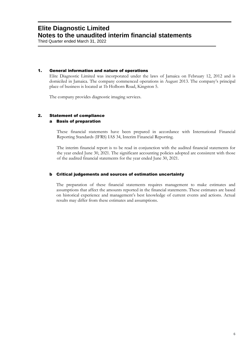Third Quarter ended March 31, 2022

#### 1. General information and nature of operations

Elite Diagnostic Limited was incorporated under the laws of Jamaica on February 12, 2012 and is domiciled in Jamaica. The company commenced operations in August 2013. The company's principal place of business is located at 1b Holborn Road, Kingston 5.

The company provides diagnostic imaging services.

#### 2. Statement of compliance

#### a Basis of preparation

These financial statements have been prepared in accordance with International Financial Reporting Standards (IFRS) IAS 34, Interim Financial Reporting.

The interim financial report is to be read in conjunction with the audited financial statements for the year ended June 30, 2021. The significant accounting policies adopted are consistent with those of the audited financial statements for the year ended June 30, 2021.

#### b Critical judgements and sources of estimation uncertainty

The preparation of these financial statements requires management to make estimates and assumptions that affect the amounts reported in the financial statements. These estimates are based on historical experience and management's best knowledge of current events and actions. Actual results may differ from these estimates and assumptions.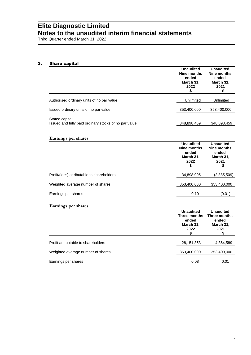## **Elite Diagnostic Limited Notes to the unaudited interim financial statements**

Third Quarter ended March 31, 2022

#### 3. Share capital

| <b>Unaudited</b><br>Nine months<br>ended<br>March 31,<br>2022<br>\$  | <b>Unaudited</b><br>Nine months<br>ended<br>March 31,<br>2021<br>\$  |
|----------------------------------------------------------------------|----------------------------------------------------------------------|
| Unlimited                                                            | Unlimited                                                            |
| 353,400,000                                                          | 353,400,000                                                          |
| 348,898,459                                                          | 348,898,459                                                          |
|                                                                      |                                                                      |
| <b>Unaudited</b><br>Nine months<br>ended<br>March 31,<br>2022<br>\$  | <b>Unaudited</b><br>Nine months<br>ended<br>March 31,<br>2021<br>\$  |
| 34,898,095                                                           | (2,885,509)                                                          |
| 353,400,000                                                          | 353,400,000                                                          |
| 0.10                                                                 | (0.01)                                                               |
|                                                                      |                                                                      |
| <b>Unaudited</b><br>Three months<br>ended<br>March 31,<br>2022<br>\$ | <b>Unaudited</b><br>Three months<br>ended<br>March 31,<br>2021<br>\$ |
| 28, 151, 353                                                         | 4,364,589                                                            |
| 353,400,000                                                          | 353,400,000                                                          |
| 0.08                                                                 | 0.01                                                                 |
|                                                                      |                                                                      |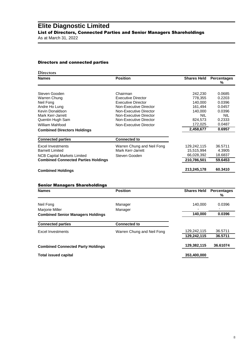### **Elite Diagnostic Limited** List of Directors, Connected Parties and Senior Managers Shareholdings As at March 31, 2022

#### Directors and connected parties

| <b>Position</b><br><b>Shares Held</b><br><b>Names</b><br>Chairman<br>Steven Gooden<br>242,230<br>778,355<br>Warren Chung<br>Executive Director<br>140,000<br>Neil Fong<br><b>Executive Director</b><br>Andre Ho Lung<br>161,494<br>Non-Executive Director<br>Kevin Donaldson<br>Non-Executive Director<br>140,000<br>Non-Executive Director<br><b>NIL</b><br>824,573<br>Quentin Hugh Sam<br>Non-Executive Director<br>172,025<br><b>William Mahfood</b><br>Non-Executive Director<br>2,458,677<br><b>Combined Directors Holdings</b><br><b>Connected to</b><br><b>Connected parties</b><br>Warren Chung and Neil Fong<br><b>Excel Investments</b><br>129,242,115<br>Mark Kerr-Jarrett<br><b>Barnett Limited</b><br>15,515,994<br>66,028,392<br>Steven Gooden<br><b>NCB Capital Markets Limited</b><br><b>Combined Connected Parties Holdings</b><br>210,786,501<br>213,245,178<br><b>Combined Holdings</b><br><b>Senior Managers Shareholdings</b><br><b>Position</b><br><b>Shares Held</b><br><b>Names</b><br>Neil Fong<br>Manager<br>140,000<br>Marjorie Miller<br>Manager<br>140,000<br><b>Combined Senior Managers Holdings</b><br><b>Connected parties</b><br><b>Connected to</b> |                         |
|----------------------------------------------------------------------------------------------------------------------------------------------------------------------------------------------------------------------------------------------------------------------------------------------------------------------------------------------------------------------------------------------------------------------------------------------------------------------------------------------------------------------------------------------------------------------------------------------------------------------------------------------------------------------------------------------------------------------------------------------------------------------------------------------------------------------------------------------------------------------------------------------------------------------------------------------------------------------------------------------------------------------------------------------------------------------------------------------------------------------------------------------------------------------------------------|-------------------------|
| Mark Kerr-Jarrett                                                                                                                                                                                                                                                                                                                                                                                                                                                                                                                                                                                                                                                                                                                                                                                                                                                                                                                                                                                                                                                                                                                                                                      | <b>Percentages</b><br>% |
|                                                                                                                                                                                                                                                                                                                                                                                                                                                                                                                                                                                                                                                                                                                                                                                                                                                                                                                                                                                                                                                                                                                                                                                        |                         |
|                                                                                                                                                                                                                                                                                                                                                                                                                                                                                                                                                                                                                                                                                                                                                                                                                                                                                                                                                                                                                                                                                                                                                                                        | 0.0685                  |
|                                                                                                                                                                                                                                                                                                                                                                                                                                                                                                                                                                                                                                                                                                                                                                                                                                                                                                                                                                                                                                                                                                                                                                                        | 0.2203                  |
|                                                                                                                                                                                                                                                                                                                                                                                                                                                                                                                                                                                                                                                                                                                                                                                                                                                                                                                                                                                                                                                                                                                                                                                        | 0.0396                  |
|                                                                                                                                                                                                                                                                                                                                                                                                                                                                                                                                                                                                                                                                                                                                                                                                                                                                                                                                                                                                                                                                                                                                                                                        | 0.0457                  |
|                                                                                                                                                                                                                                                                                                                                                                                                                                                                                                                                                                                                                                                                                                                                                                                                                                                                                                                                                                                                                                                                                                                                                                                        | 0.0396                  |
|                                                                                                                                                                                                                                                                                                                                                                                                                                                                                                                                                                                                                                                                                                                                                                                                                                                                                                                                                                                                                                                                                                                                                                                        | <b>NIL</b>              |
|                                                                                                                                                                                                                                                                                                                                                                                                                                                                                                                                                                                                                                                                                                                                                                                                                                                                                                                                                                                                                                                                                                                                                                                        | 0.2333                  |
|                                                                                                                                                                                                                                                                                                                                                                                                                                                                                                                                                                                                                                                                                                                                                                                                                                                                                                                                                                                                                                                                                                                                                                                        | 0.0487                  |
|                                                                                                                                                                                                                                                                                                                                                                                                                                                                                                                                                                                                                                                                                                                                                                                                                                                                                                                                                                                                                                                                                                                                                                                        | 0.6957                  |
|                                                                                                                                                                                                                                                                                                                                                                                                                                                                                                                                                                                                                                                                                                                                                                                                                                                                                                                                                                                                                                                                                                                                                                                        |                         |
|                                                                                                                                                                                                                                                                                                                                                                                                                                                                                                                                                                                                                                                                                                                                                                                                                                                                                                                                                                                                                                                                                                                                                                                        | 36.5711                 |
|                                                                                                                                                                                                                                                                                                                                                                                                                                                                                                                                                                                                                                                                                                                                                                                                                                                                                                                                                                                                                                                                                                                                                                                        | 4.3905                  |
|                                                                                                                                                                                                                                                                                                                                                                                                                                                                                                                                                                                                                                                                                                                                                                                                                                                                                                                                                                                                                                                                                                                                                                                        | 18.6837                 |
|                                                                                                                                                                                                                                                                                                                                                                                                                                                                                                                                                                                                                                                                                                                                                                                                                                                                                                                                                                                                                                                                                                                                                                                        | 59.6453                 |
|                                                                                                                                                                                                                                                                                                                                                                                                                                                                                                                                                                                                                                                                                                                                                                                                                                                                                                                                                                                                                                                                                                                                                                                        | 60.3410                 |
|                                                                                                                                                                                                                                                                                                                                                                                                                                                                                                                                                                                                                                                                                                                                                                                                                                                                                                                                                                                                                                                                                                                                                                                        |                         |
|                                                                                                                                                                                                                                                                                                                                                                                                                                                                                                                                                                                                                                                                                                                                                                                                                                                                                                                                                                                                                                                                                                                                                                                        | <b>Percentages</b>      |
|                                                                                                                                                                                                                                                                                                                                                                                                                                                                                                                                                                                                                                                                                                                                                                                                                                                                                                                                                                                                                                                                                                                                                                                        | %                       |
|                                                                                                                                                                                                                                                                                                                                                                                                                                                                                                                                                                                                                                                                                                                                                                                                                                                                                                                                                                                                                                                                                                                                                                                        | 0.0396                  |
|                                                                                                                                                                                                                                                                                                                                                                                                                                                                                                                                                                                                                                                                                                                                                                                                                                                                                                                                                                                                                                                                                                                                                                                        |                         |
|                                                                                                                                                                                                                                                                                                                                                                                                                                                                                                                                                                                                                                                                                                                                                                                                                                                                                                                                                                                                                                                                                                                                                                                        | 0.0396                  |
|                                                                                                                                                                                                                                                                                                                                                                                                                                                                                                                                                                                                                                                                                                                                                                                                                                                                                                                                                                                                                                                                                                                                                                                        |                         |
| 129,242,115<br><b>Excel Investments</b><br>Warren Chung and Neil Fong                                                                                                                                                                                                                                                                                                                                                                                                                                                                                                                                                                                                                                                                                                                                                                                                                                                                                                                                                                                                                                                                                                                  | 36.5711                 |
| 129,242,115                                                                                                                                                                                                                                                                                                                                                                                                                                                                                                                                                                                                                                                                                                                                                                                                                                                                                                                                                                                                                                                                                                                                                                            | 36.5711                 |
| 129,382,115<br><b>Combined Connected Party Holdings</b>                                                                                                                                                                                                                                                                                                                                                                                                                                                                                                                                                                                                                                                                                                                                                                                                                                                                                                                                                                                                                                                                                                                                | 36.61074                |
| <b>Total issued capital</b><br>353,400,000                                                                                                                                                                                                                                                                                                                                                                                                                                                                                                                                                                                                                                                                                                                                                                                                                                                                                                                                                                                                                                                                                                                                             |                         |